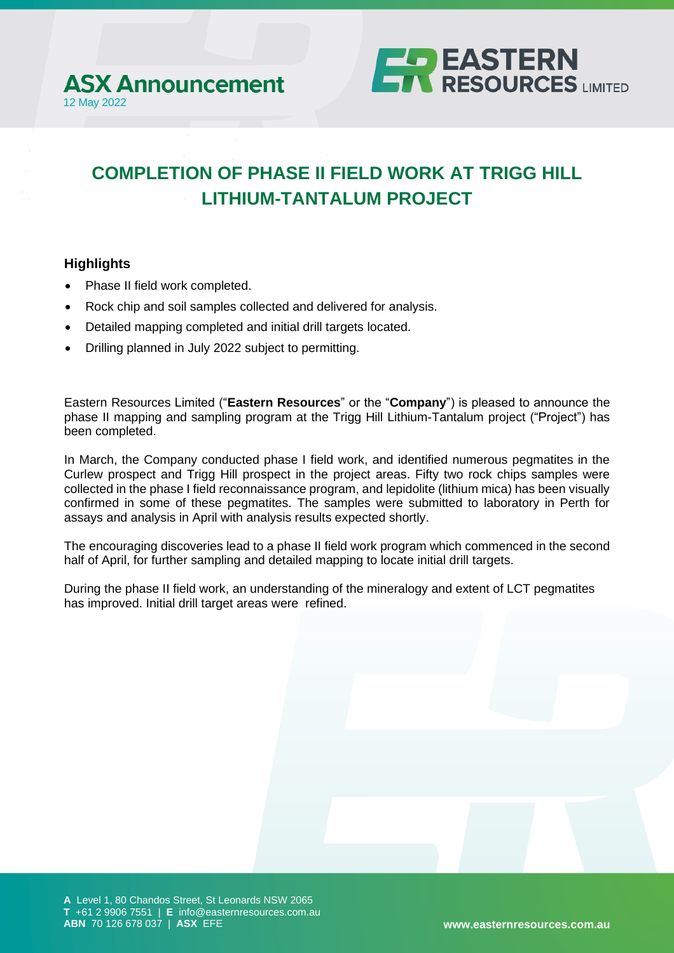



# **COMPLETION OF PHASE II FIELD WORK AT TRIGG HILL LITHIUM-TANTALUM PROJECT**

### **Highlights**

- Phase II field work completed.
- Rock chip and soil samples collected and delivered for analysis.
- Detailed mapping completed and initial drill targets located.
- Drilling planned in July 2022 subject to permitting.

Eastern Resources Limited ("**Eastern Resources**" or the "**Company**") is pleased to announce the phase II mapping and sampling program at the Trigg Hill Lithium-Tantalum project ("Project") has been completed.

In March, the Company conducted phase I field work, and identified numerous pegmatites in the Curlew prospect and Trigg Hill prospect in the project areas. Fifty two rock chips samples were collected in the phase I field reconnaissance program, and lepidolite (lithium mica) has been visually confirmed in some of these pegmatites. The samples were submitted to laboratory in Perth for assays and analysis in April with analysis results expected shortly.

The encouraging discoveries lead to a phase II field work program which commenced in the second half of April, for further sampling and detailed mapping to locate initial drill targets.

During the phase II field work, an understanding of the mineralogy and extent of LCT pegmatites has improved. Initial drill target areas were refined.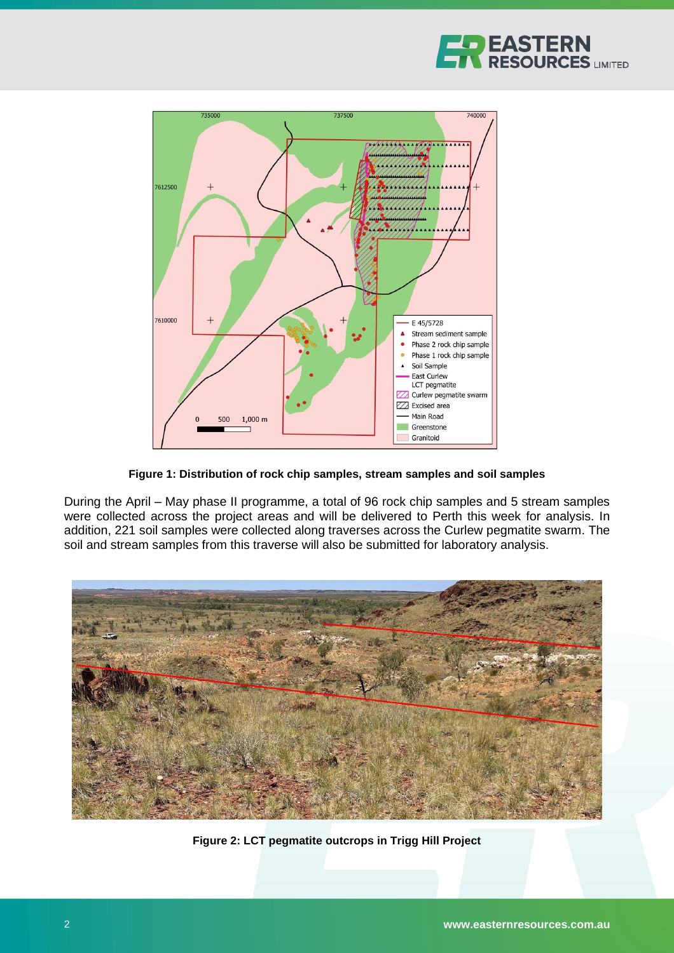



**Figure 1: Distribution of rock chip samples, stream samples and soil samples**

During the April – May phase II programme, a total of 96 rock chip samples and 5 stream samples were collected across the project areas and will be delivered to Perth this week for analysis. In addition, 221 soil samples were collected along traverses across the Curlew pegmatite swarm. The soil and stream samples from this traverse will also be submitted for laboratory analysis.



**Figure 2: LCT pegmatite outcrops in Trigg Hill Project**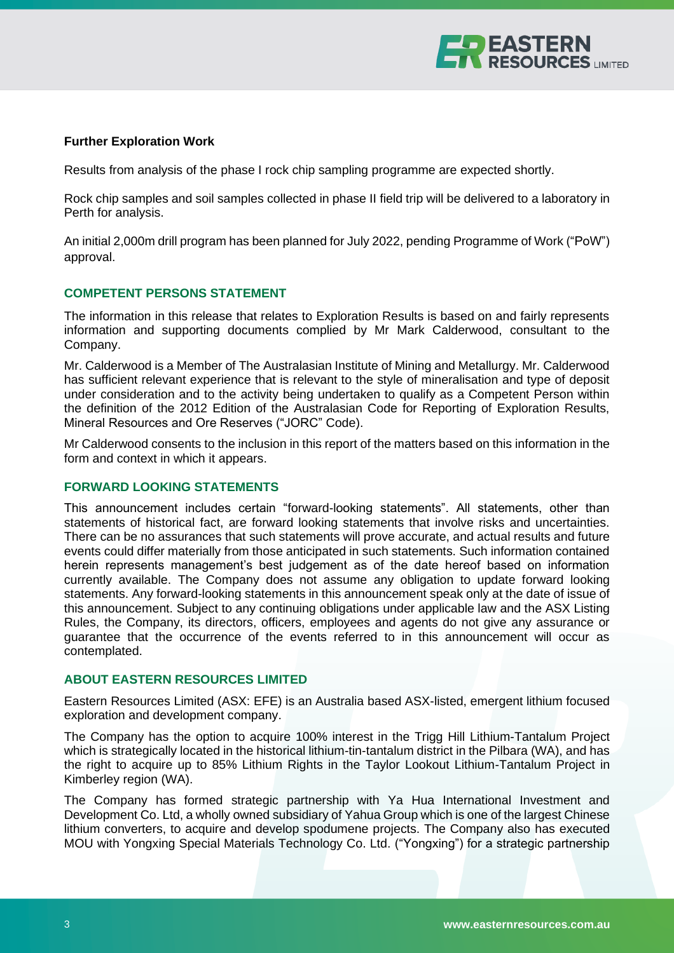

#### **Further Exploration Work**

Results from analysis of the phase I rock chip sampling programme are expected shortly.

Rock chip samples and soil samples collected in phase II field trip will be delivered to a laboratory in Perth for analysis.

An initial 2,000m drill program has been planned for July 2022, pending Programme of Work ("PoW") approval.

#### **COMPETENT PERSONS STATEMENT**

The information in this release that relates to Exploration Results is based on and fairly represents information and supporting documents complied by Mr Mark Calderwood, consultant to the Company.

Mr. Calderwood is a Member of The Australasian Institute of Mining and Metallurgy. Mr. Calderwood has sufficient relevant experience that is relevant to the style of mineralisation and type of deposit under consideration and to the activity being undertaken to qualify as a Competent Person within the definition of the 2012 Edition of the Australasian Code for Reporting of Exploration Results, Mineral Resources and Ore Reserves ("JORC" Code).

Mr Calderwood consents to the inclusion in this report of the matters based on this information in the form and context in which it appears.

#### **FORWARD LOOKING STATEMENTS**

This announcement includes certain "forward-looking statements". All statements, other than statements of historical fact, are forward looking statements that involve risks and uncertainties. There can be no assurances that such statements will prove accurate, and actual results and future events could differ materially from those anticipated in such statements. Such information contained herein represents management's best judgement as of the date hereof based on information currently available. The Company does not assume any obligation to update forward looking statements. Any forward-looking statements in this announcement speak only at the date of issue of this announcement. Subject to any continuing obligations under applicable law and the ASX Listing Rules, the Company, its directors, officers, employees and agents do not give any assurance or guarantee that the occurrence of the events referred to in this announcement will occur as contemplated.

#### **ABOUT EASTERN RESOURCES LIMITED**

Eastern Resources Limited (ASX: EFE) is an Australia based ASX-listed, emergent lithium focused exploration and development company.

The Company has the option to acquire 100% interest in the Trigg Hill Lithium-Tantalum Project which is strategically located in the historical lithium-tin-tantalum district in the Pilbara (WA), and has the right to acquire up to 85% Lithium Rights in the Taylor Lookout Lithium-Tantalum Project in Kimberley region (WA).

The Company has formed strategic partnership with Ya Hua International Investment and Development Co. Ltd, a wholly owned subsidiary of Yahua Group which is one of the largest Chinese lithium converters, to acquire and develop spodumene projects. The Company also has executed MOU with Yongxing Special Materials Technology Co. Ltd. ("Yongxing") for a strategic partnership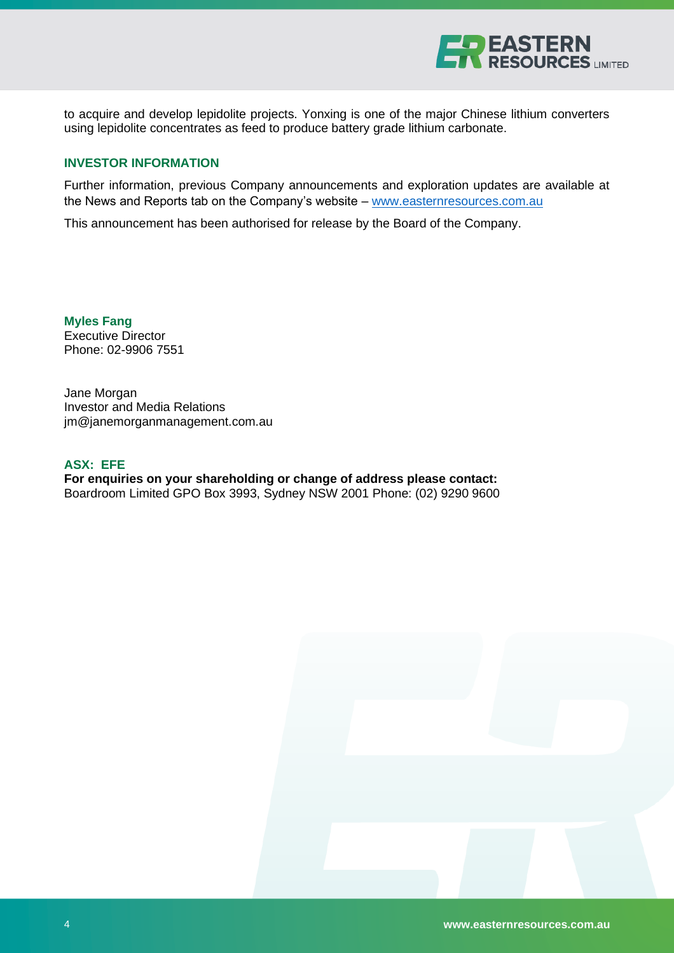

to acquire and develop lepidolite projects. Yonxing is one of the major Chinese lithium converters using lepidolite concentrates as feed to produce battery grade lithium carbonate.

#### **INVESTOR INFORMATION**

Further information, previous Company announcements and exploration updates are available at the News and Reports tab on the Company's website – [www.easternresources.com.au](http://www.easternresources.com.au/)

This announcement has been authorised for release by the Board of the Company.

**Myles Fang** Executive Director Phone: 02-9906 7551

Jane Morgan Investor and Media Relations [jm@janemorganmanagement.com.au](mailto:jm@janemorganmanagement.com.au)

#### **ASX: EFE**

**For enquiries on your shareholding or change of address please contact:** Boardroom Limited GPO Box 3993, Sydney NSW 2001 Phone: (02) 9290 9600

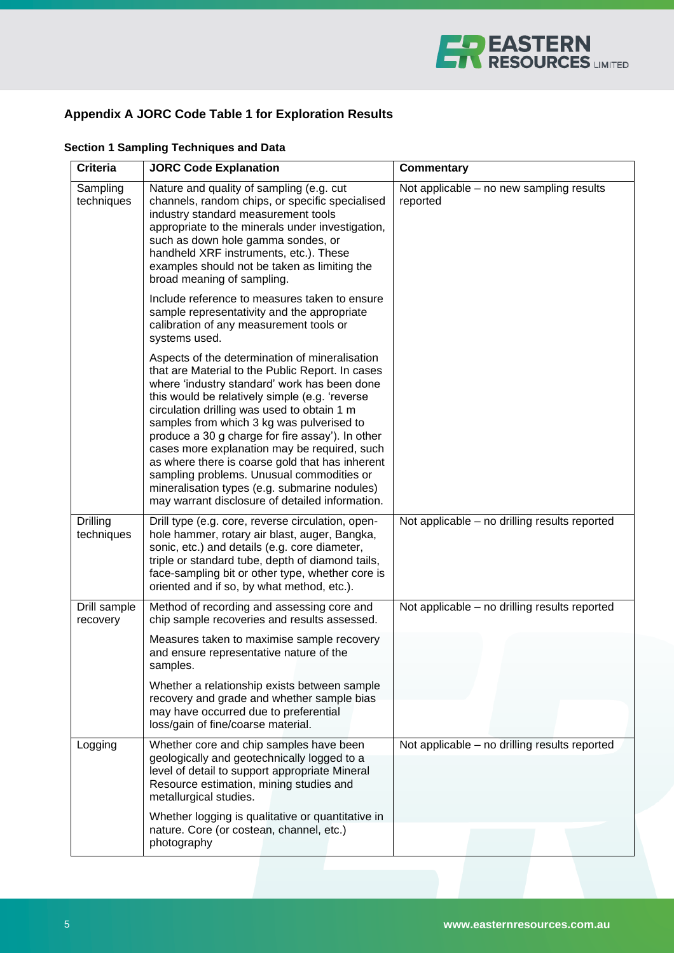

## **Appendix A JORC Code Table 1 for Exploration Results**

| <b>Criteria</b>          | <b>JORC Code Explanation</b>                                                                                                                                                                                                                                                                                                                                                                                                                                                                                                                                                                             | <b>Commentary</b>                                    |
|--------------------------|----------------------------------------------------------------------------------------------------------------------------------------------------------------------------------------------------------------------------------------------------------------------------------------------------------------------------------------------------------------------------------------------------------------------------------------------------------------------------------------------------------------------------------------------------------------------------------------------------------|------------------------------------------------------|
| Sampling<br>techniques   | Nature and quality of sampling (e.g. cut<br>channels, random chips, or specific specialised<br>industry standard measurement tools<br>appropriate to the minerals under investigation,<br>such as down hole gamma sondes, or<br>handheld XRF instruments, etc.). These<br>examples should not be taken as limiting the<br>broad meaning of sampling.                                                                                                                                                                                                                                                     | Not applicable – no new sampling results<br>reported |
|                          | Include reference to measures taken to ensure<br>sample representativity and the appropriate<br>calibration of any measurement tools or<br>systems used.                                                                                                                                                                                                                                                                                                                                                                                                                                                 |                                                      |
|                          | Aspects of the determination of mineralisation<br>that are Material to the Public Report. In cases<br>where 'industry standard' work has been done<br>this would be relatively simple (e.g. 'reverse<br>circulation drilling was used to obtain 1 m<br>samples from which 3 kg was pulverised to<br>produce a 30 g charge for fire assay'). In other<br>cases more explanation may be required, such<br>as where there is coarse gold that has inherent<br>sampling problems. Unusual commodities or<br>mineralisation types (e.g. submarine nodules)<br>may warrant disclosure of detailed information. |                                                      |
| Drilling<br>techniques   | Drill type (e.g. core, reverse circulation, open-<br>hole hammer, rotary air blast, auger, Bangka,<br>sonic, etc.) and details (e.g. core diameter,<br>triple or standard tube, depth of diamond tails,<br>face-sampling bit or other type, whether core is<br>oriented and if so, by what method, etc.).                                                                                                                                                                                                                                                                                                | Not applicable - no drilling results reported        |
| Drill sample<br>recovery | Method of recording and assessing core and<br>chip sample recoveries and results assessed.                                                                                                                                                                                                                                                                                                                                                                                                                                                                                                               | Not applicable - no drilling results reported        |
|                          | Measures taken to maximise sample recovery<br>and ensure representative nature of the<br>samples.                                                                                                                                                                                                                                                                                                                                                                                                                                                                                                        |                                                      |
|                          | Whether a relationship exists between sample<br>recovery and grade and whether sample bias<br>may have occurred due to preferential<br>loss/gain of fine/coarse material.                                                                                                                                                                                                                                                                                                                                                                                                                                |                                                      |
| Logging                  | Whether core and chip samples have been<br>geologically and geotechnically logged to a<br>level of detail to support appropriate Mineral<br>Resource estimation, mining studies and<br>metallurgical studies.                                                                                                                                                                                                                                                                                                                                                                                            | Not applicable - no drilling results reported        |
|                          | Whether logging is qualitative or quantitative in<br>nature. Core (or costean, channel, etc.)<br>photography                                                                                                                                                                                                                                                                                                                                                                                                                                                                                             |                                                      |

## **Section 1 Sampling Techniques and Data**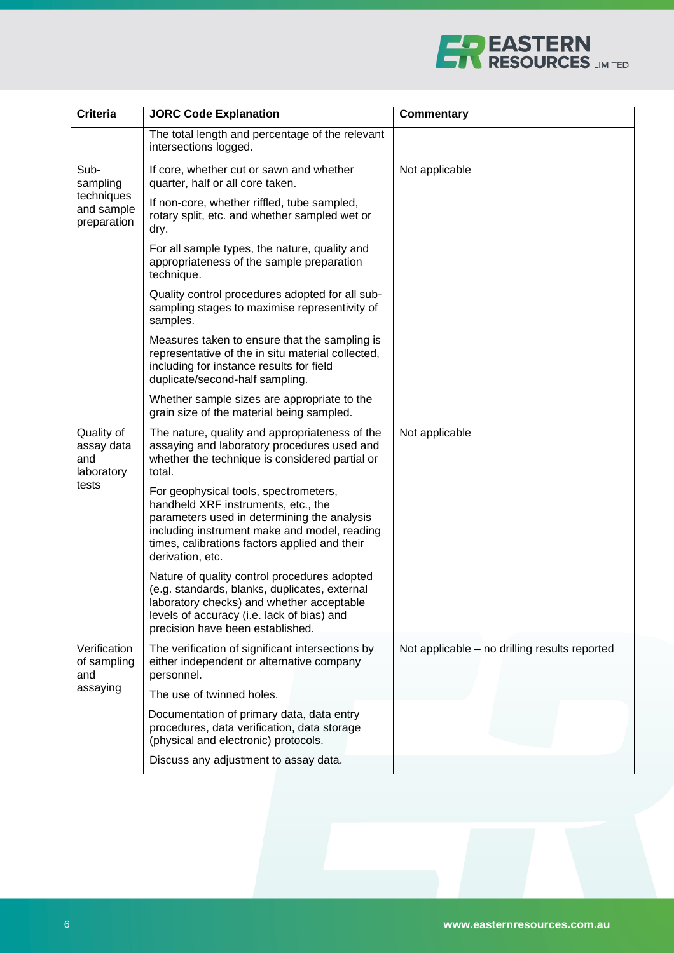

| <b>Criteria</b>                                             | <b>JORC Code Explanation</b>                                                                                                                                                                                                                     | <b>Commentary</b>                             |
|-------------------------------------------------------------|--------------------------------------------------------------------------------------------------------------------------------------------------------------------------------------------------------------------------------------------------|-----------------------------------------------|
|                                                             | The total length and percentage of the relevant<br>intersections logged.                                                                                                                                                                         |                                               |
| Sub-<br>sampling<br>techniques<br>and sample<br>preparation | If core, whether cut or sawn and whether<br>quarter, half or all core taken.                                                                                                                                                                     | Not applicable                                |
|                                                             | If non-core, whether riffled, tube sampled,<br>rotary split, etc. and whether sampled wet or<br>dry.                                                                                                                                             |                                               |
|                                                             | For all sample types, the nature, quality and<br>appropriateness of the sample preparation<br>technique.                                                                                                                                         |                                               |
|                                                             | Quality control procedures adopted for all sub-<br>sampling stages to maximise representivity of<br>samples.                                                                                                                                     |                                               |
|                                                             | Measures taken to ensure that the sampling is<br>representative of the in situ material collected,<br>including for instance results for field<br>duplicate/second-half sampling.                                                                |                                               |
|                                                             | Whether sample sizes are appropriate to the<br>grain size of the material being sampled.                                                                                                                                                         |                                               |
| Quality of<br>assay data<br>and<br>laboratory<br>tests      | The nature, quality and appropriateness of the<br>assaying and laboratory procedures used and<br>whether the technique is considered partial or<br>total.                                                                                        | Not applicable                                |
|                                                             | For geophysical tools, spectrometers,<br>handheld XRF instruments, etc., the<br>parameters used in determining the analysis<br>including instrument make and model, reading<br>times, calibrations factors applied and their<br>derivation, etc. |                                               |
|                                                             | Nature of quality control procedures adopted<br>(e.g. standards, blanks, duplicates, external<br>laboratory checks) and whether acceptable<br>levels of accuracy (i.e. lack of bias) and<br>precision have been established.                     |                                               |
| Verification<br>of sampling<br>and                          | The verification of significant intersections by<br>either independent or alternative company<br>personnel.                                                                                                                                      | Not applicable - no drilling results reported |
| assaying                                                    | The use of twinned holes.                                                                                                                                                                                                                        |                                               |
|                                                             | Documentation of primary data, data entry<br>procedures, data verification, data storage<br>(physical and electronic) protocols.                                                                                                                 |                                               |
|                                                             | Discuss any adjustment to assay data.                                                                                                                                                                                                            |                                               |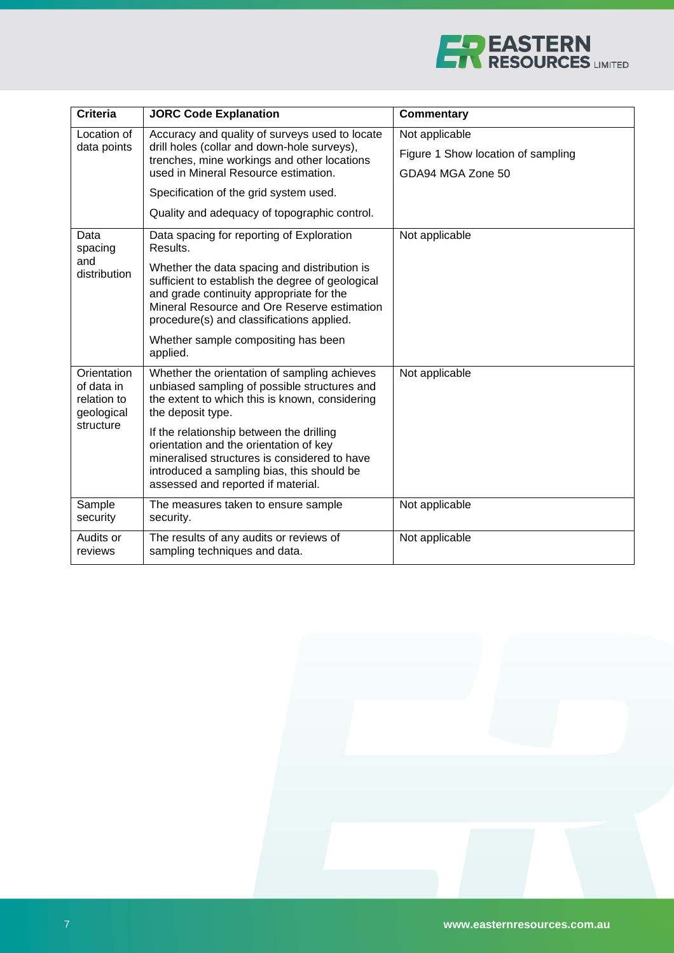

| <b>Criteria</b>                                                     | <b>JORC Code Explanation</b>                                                                                                                                                                                                             | <b>Commentary</b>                  |
|---------------------------------------------------------------------|------------------------------------------------------------------------------------------------------------------------------------------------------------------------------------------------------------------------------------------|------------------------------------|
| Location of<br>data points                                          | Accuracy and quality of surveys used to locate<br>drill holes (collar and down-hole surveys),<br>trenches, mine workings and other locations                                                                                             | Not applicable                     |
|                                                                     |                                                                                                                                                                                                                                          | Figure 1 Show location of sampling |
|                                                                     | used in Mineral Resource estimation.                                                                                                                                                                                                     | GDA94 MGA Zone 50                  |
|                                                                     | Specification of the grid system used.                                                                                                                                                                                                   |                                    |
|                                                                     | Quality and adequacy of topographic control.                                                                                                                                                                                             |                                    |
| Data<br>spacing                                                     | Data spacing for reporting of Exploration<br>Results.                                                                                                                                                                                    | Not applicable                     |
| and<br>distribution                                                 | Whether the data spacing and distribution is<br>sufficient to establish the degree of geological<br>and grade continuity appropriate for the<br>Mineral Resource and Ore Reserve estimation<br>procedure(s) and classifications applied. |                                    |
|                                                                     | Whether sample compositing has been<br>applied.                                                                                                                                                                                          |                                    |
| Orientation<br>of data in<br>relation to<br>geological<br>structure | Whether the orientation of sampling achieves<br>unbiased sampling of possible structures and<br>the extent to which this is known, considering<br>the deposit type.                                                                      | Not applicable                     |
|                                                                     | If the relationship between the drilling<br>orientation and the orientation of key<br>mineralised structures is considered to have<br>introduced a sampling bias, this should be<br>assessed and reported if material.                   |                                    |
| Sample<br>security                                                  | The measures taken to ensure sample<br>security.                                                                                                                                                                                         | Not applicable                     |
| Audits or<br>reviews                                                | The results of any audits or reviews of<br>sampling techniques and data.                                                                                                                                                                 | Not applicable                     |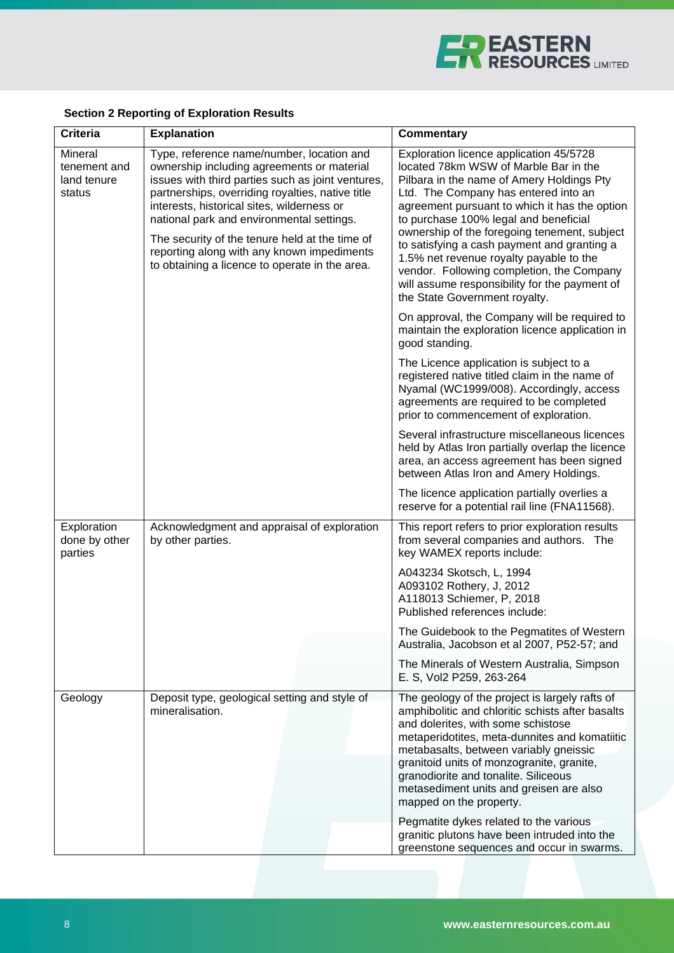

## **Section 2 Reporting of Exploration Results**

| <b>Criteria</b>                                  | <b>Explanation</b>                                                                                                                                                                                                                                                                                                                                                                                                                            | <b>Commentary</b>                                                                                                                                                                                                                                                                                                                                                                                                                                                                                                                        |
|--------------------------------------------------|-----------------------------------------------------------------------------------------------------------------------------------------------------------------------------------------------------------------------------------------------------------------------------------------------------------------------------------------------------------------------------------------------------------------------------------------------|------------------------------------------------------------------------------------------------------------------------------------------------------------------------------------------------------------------------------------------------------------------------------------------------------------------------------------------------------------------------------------------------------------------------------------------------------------------------------------------------------------------------------------------|
| Mineral<br>tenement and<br>land tenure<br>status | Type, reference name/number, location and<br>ownership including agreements or material<br>issues with third parties such as joint ventures,<br>partnerships, overriding royalties, native title<br>interests, historical sites, wilderness or<br>national park and environmental settings.<br>The security of the tenure held at the time of<br>reporting along with any known impediments<br>to obtaining a licence to operate in the area. | Exploration licence application 45/5728<br>located 78km WSW of Marble Bar in the<br>Pilbara in the name of Amery Holdings Pty<br>Ltd. The Company has entered into an<br>agreement pursuant to which it has the option<br>to purchase 100% legal and beneficial<br>ownership of the foregoing tenement, subject<br>to satisfying a cash payment and granting a<br>1.5% net revenue royalty payable to the<br>vendor. Following completion, the Company<br>will assume responsibility for the payment of<br>the State Government royalty. |
|                                                  |                                                                                                                                                                                                                                                                                                                                                                                                                                               | On approval, the Company will be required to<br>maintain the exploration licence application in<br>good standing.                                                                                                                                                                                                                                                                                                                                                                                                                        |
|                                                  |                                                                                                                                                                                                                                                                                                                                                                                                                                               | The Licence application is subject to a<br>registered native titled claim in the name of<br>Nyamal (WC1999/008). Accordingly, access<br>agreements are required to be completed<br>prior to commencement of exploration.                                                                                                                                                                                                                                                                                                                 |
|                                                  |                                                                                                                                                                                                                                                                                                                                                                                                                                               | Several infrastructure miscellaneous licences<br>held by Atlas Iron partially overlap the licence<br>area, an access agreement has been signed<br>between Atlas Iron and Amery Holdings.                                                                                                                                                                                                                                                                                                                                                 |
|                                                  |                                                                                                                                                                                                                                                                                                                                                                                                                                               | The licence application partially overlies a<br>reserve for a potential rail line (FNA11568).                                                                                                                                                                                                                                                                                                                                                                                                                                            |
| Exploration<br>done by other<br>parties          | Acknowledgment and appraisal of exploration<br>by other parties.                                                                                                                                                                                                                                                                                                                                                                              | This report refers to prior exploration results<br>from several companies and authors. The<br>key WAMEX reports include:<br>A043234 Skotsch, L, 1994<br>A093102 Rothery, J, 2012                                                                                                                                                                                                                                                                                                                                                         |
|                                                  |                                                                                                                                                                                                                                                                                                                                                                                                                                               | A118013 Schiemer, P, 2018<br>Published references include:                                                                                                                                                                                                                                                                                                                                                                                                                                                                               |
|                                                  |                                                                                                                                                                                                                                                                                                                                                                                                                                               | The Guidebook to the Pegmatites of Western<br>Australia, Jacobson et al 2007, P52-57; and                                                                                                                                                                                                                                                                                                                                                                                                                                                |
|                                                  |                                                                                                                                                                                                                                                                                                                                                                                                                                               | The Minerals of Western Australia, Simpson<br>E. S, Vol2 P259, 263-264                                                                                                                                                                                                                                                                                                                                                                                                                                                                   |
| Geology                                          | Deposit type, geological setting and style of<br>mineralisation.                                                                                                                                                                                                                                                                                                                                                                              | The geology of the project is largely rafts of<br>amphibolitic and chloritic schists after basalts<br>and dolerites, with some schistose<br>metaperidotites, meta-dunnites and komatiitic<br>metabasalts, between variably gneissic<br>granitoid units of monzogranite, granite,<br>granodiorite and tonalite. Siliceous<br>metasediment units and greisen are also<br>mapped on the property.                                                                                                                                           |
|                                                  |                                                                                                                                                                                                                                                                                                                                                                                                                                               | Pegmatite dykes related to the various<br>granitic plutons have been intruded into the<br>greenstone sequences and occur in swarms.                                                                                                                                                                                                                                                                                                                                                                                                      |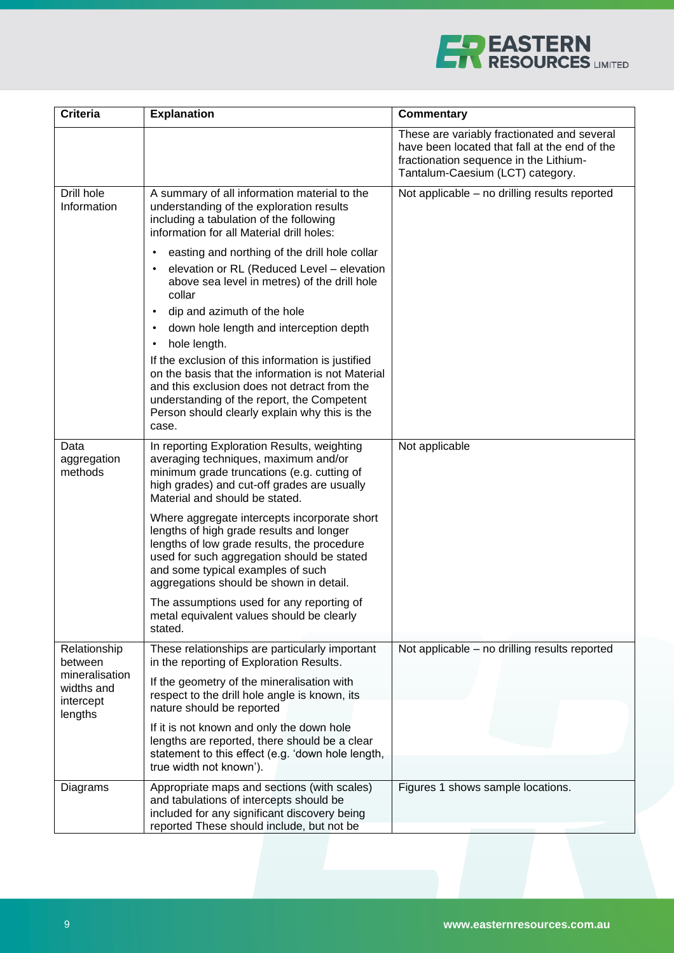

| <b>Criteria</b>                                      | <b>Explanation</b>                                                                                                                                                                                                                                                                                                                                                                                                                                                                                                             | <b>Commentary</b>                                                                                                                                                          |
|------------------------------------------------------|--------------------------------------------------------------------------------------------------------------------------------------------------------------------------------------------------------------------------------------------------------------------------------------------------------------------------------------------------------------------------------------------------------------------------------------------------------------------------------------------------------------------------------|----------------------------------------------------------------------------------------------------------------------------------------------------------------------------|
|                                                      |                                                                                                                                                                                                                                                                                                                                                                                                                                                                                                                                | These are variably fractionated and several<br>have been located that fall at the end of the<br>fractionation sequence in the Lithium-<br>Tantalum-Caesium (LCT) category. |
| Drill hole<br>Information                            | A summary of all information material to the<br>understanding of the exploration results<br>including a tabulation of the following<br>information for all Material drill holes:                                                                                                                                                                                                                                                                                                                                               | Not applicable - no drilling results reported                                                                                                                              |
|                                                      | easting and northing of the drill hole collar<br>elevation or RL (Reduced Level - elevation<br>above sea level in metres) of the drill hole<br>collar<br>dip and azimuth of the hole<br>$\bullet$<br>down hole length and interception depth<br>hole length.<br>If the exclusion of this information is justified<br>on the basis that the information is not Material<br>and this exclusion does not detract from the<br>understanding of the report, the Competent<br>Person should clearly explain why this is the<br>case. |                                                                                                                                                                            |
| Data<br>aggregation<br>methods                       | In reporting Exploration Results, weighting<br>averaging techniques, maximum and/or<br>minimum grade truncations (e.g. cutting of<br>high grades) and cut-off grades are usually<br>Material and should be stated.                                                                                                                                                                                                                                                                                                             | Not applicable                                                                                                                                                             |
|                                                      | Where aggregate intercepts incorporate short<br>lengths of high grade results and longer<br>lengths of low grade results, the procedure<br>used for such aggregation should be stated<br>and some typical examples of such<br>aggregations should be shown in detail.                                                                                                                                                                                                                                                          |                                                                                                                                                                            |
|                                                      | The assumptions used for any reporting of<br>metal equivalent values should be clearly<br>stated.                                                                                                                                                                                                                                                                                                                                                                                                                              |                                                                                                                                                                            |
| Relationship<br>between                              | These relationships are particularly important<br>in the reporting of Exploration Results.                                                                                                                                                                                                                                                                                                                                                                                                                                     | Not applicable - no drilling results reported                                                                                                                              |
| mineralisation<br>widths and<br>intercept<br>lengths | If the geometry of the mineralisation with<br>respect to the drill hole angle is known, its<br>nature should be reported                                                                                                                                                                                                                                                                                                                                                                                                       |                                                                                                                                                                            |
|                                                      | If it is not known and only the down hole<br>lengths are reported, there should be a clear<br>statement to this effect (e.g. 'down hole length,<br>true width not known').                                                                                                                                                                                                                                                                                                                                                     |                                                                                                                                                                            |
| Diagrams                                             | Appropriate maps and sections (with scales)<br>and tabulations of intercepts should be<br>included for any significant discovery being<br>reported These should include, but not be                                                                                                                                                                                                                                                                                                                                            | Figures 1 shows sample locations.                                                                                                                                          |